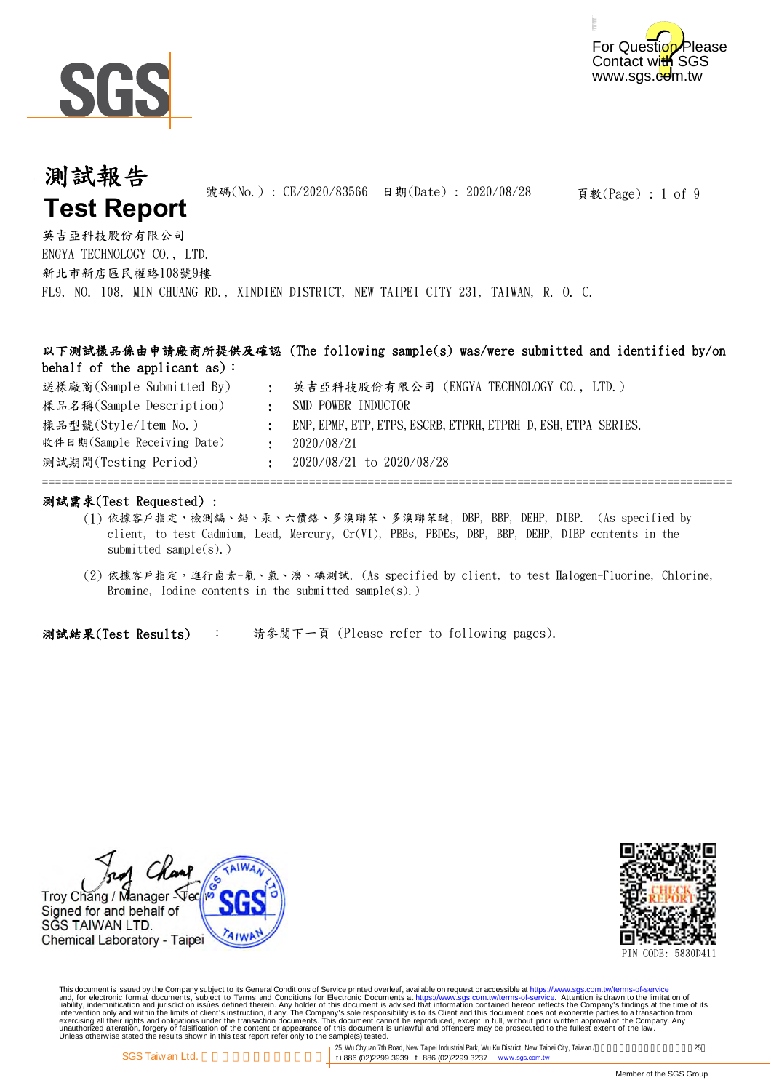



#### 頁數(Page) : 1 of 9 英吉亞科技股份有限公司 號碼(No.): CE/2020/83566 日期(Date): 2020/08/28 測試報告 **Test Report**

ENGYA TECHNOLOGY CO., LTD. 新北市新店區民權路108號9樓 FL9, NO. 108, MIN-CHUANG RD., XINDIEN DISTRICT, NEW TAIPEI CITY 231, TAIWAN, R. O. C.

### 以下測試樣品係由申請廠商所提供及確認 (The following sample(s) was/were submitted and identified by/on behalf of the applicant as):

| 送樣廠商(Sample Submitted By)   | 英吉亞科技股份有限公司 (ENGYA TECHNOLOGY CO., LTD.)                       |
|-----------------------------|----------------------------------------------------------------|
| 樣品名稱(Sample Description)    | SMD POWER INDUCTOR                                             |
| 樣品型號(Style/Item No.)        | ENP, EPMF, ETP, ETPS, ESCRB, ETPRH, ETPRH-D, ESH, ETPA SERIES. |
| 收件日期(Sample Receiving Date) | 2020/08/21                                                     |
| 測試期間(Testing Period)        | 2020/08/21 to 2020/08/28                                       |
|                             |                                                                |

#### 測試需求(Test Requested) :

- (1) 依據客戶指定,檢測鎘、鉛、汞、六價鉻、多溴聯苯、多溴聯苯醚, DBP, BBP, DEHP, DIBP. (As specified by client, to test Cadmium, Lead, Mercury, Cr(VI), PBBs, PBDEs, DBP, BBP, DEHP, DIBP contents in the submitted sample(s).)
- (2) 依據客戶指定,進行鹵素-氟、氯、溴、碘測試. (As specified by client, to test Halogen-Fluorine, Chlorine, Bromine, Iodine contents in the submitted sample(s).)

請參閱下一頁 (Please refer to following pages). 測試結果(Test Results) :





PIN CODE: 5830D411

This document is issued by the Company subject to its General Conditions of Service printed overleaf, available on request or accessible at https://www.sgs.com.tw/terms-of-service<br>and, for electronic format documents, subj

25, Wu Chyuan 7th Road, New Taipei Industrial Park, Wu Ku District, New Taipei City, Taiwan / Taiwan 7th Road, New 195 t+886 (02)2299 3939 f+886 (02)2299 3237 www.sgs.c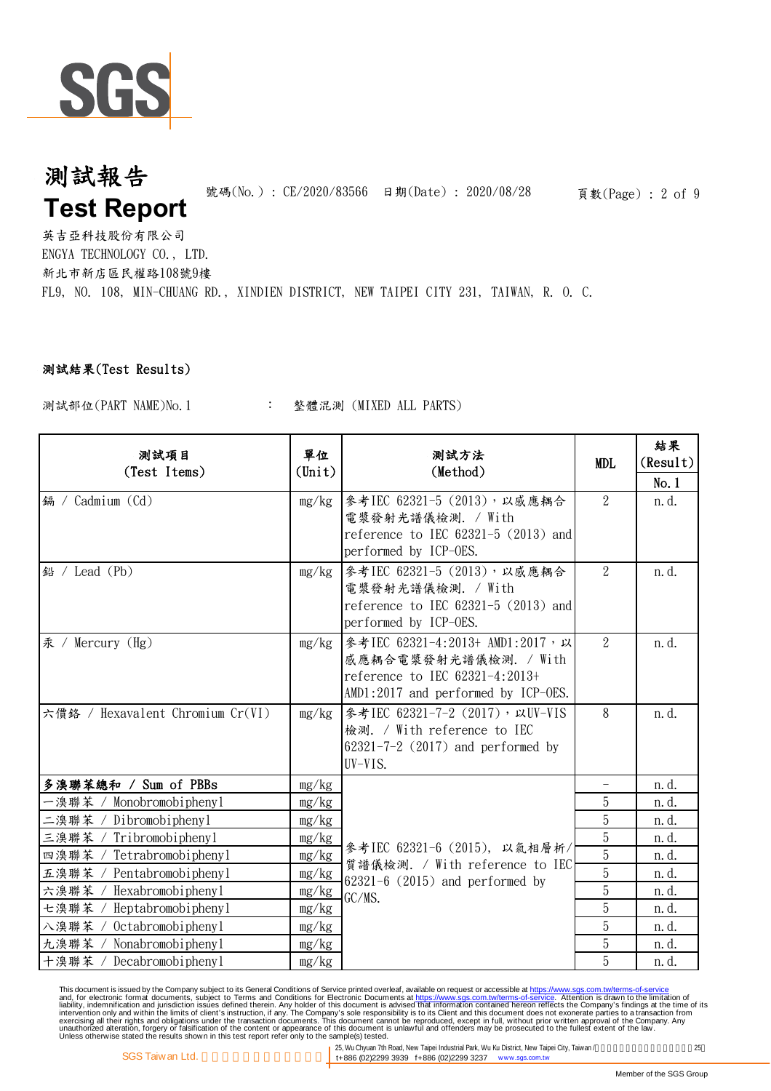

頁數(Page) : 2 of 9

英吉亞科技股份有限公司 ENGYA TECHNOLOGY CO., LTD. 新北市新店區民權路108號9樓 FL9, NO. 108, MIN-CHUANG RD., XINDIEN DISTRICT, NEW TAIPEI CITY 231, TAIWAN, R. O. C.

### 測試結果(Test Results)

: 測試部位(PART NAME)No.1 整體混測 (MIXED ALL PARTS)

| 测試項目<br>(Test Items)                                 | 單位<br>$(\text{Unit})$ | 测試方法<br>(Method)                                                                                                                     | <b>MDL</b>          | 結果<br>(Result)<br>No.1 |
|------------------------------------------------------|-----------------------|--------------------------------------------------------------------------------------------------------------------------------------|---------------------|------------------------|
| 編 / Cadmium (Cd)                                     | mg/kg                 | 參考IEC 62321-5 (2013), 以感應耦合<br>電漿發射光譜儀檢測. / With<br>reference to IEC $62321-5$ $(2013)$ and<br>performed by ICP-OES.                 | $\overline{2}$      | n. d.                  |
| 鉛 / Lead (Pb)                                        | mg/kg                 | 參考IEC 62321-5 (2013), 以感應耦合<br>電漿發射光譜儀檢測. / With<br>reference to IEC $62321-5$ $(2013)$ and<br>performed by ICP-OES.                 | $\overline{2}$      | n. d.                  |
| 汞 / Mercury (Hg)                                     | mg/kg                 | 參考IEC 62321-4:2013+ AMD1:2017, 以<br>感應耦合電漿發射光譜儀檢測. / With<br>reference to IEC 62321-4:2013+<br>$AMD1:2017$ and performed by ICP-OES. | $\overline{2}$      | n.d.                   |
| 六價鉻 / Hexavalent Chromium Cr(VI)                     | mg/kg                 | 參考IEC 62321-7-2 (2017), 以UV-VIS<br>檢測. / With reference to IEC<br>$62321 - 7 - 2$ (2017) and performed by<br>UV-VIS.                 | 8                   | n. d.                  |
| 多溴聯苯總和 / Sum of PBBs                                 | mg/kg                 |                                                                                                                                      |                     | n.d.                   |
| 一溴聯苯 / Monobromobiphenyl                             | mg/kg                 |                                                                                                                                      | 5                   | n. d.                  |
| 二溴聯苯 / Dibromobiphenyl                               | mg/kg                 |                                                                                                                                      | $\overline{5}$      | n. d.                  |
| 三溴聯苯 / Tribromobiphenyl                              | mg/kg                 | 參考IEC 62321-6 (2015), 以氣相層析/<br>質譜儀檢測. / With reference to IEC<br>$62321-6$ (2015) and performed by<br>GC/MS.                        | $\overline{5}$      | n. d.                  |
| 四溴聯苯 / Tetrabromobiphenyl                            | mg/kg                 |                                                                                                                                      | $\overline{5}$      | n.d.                   |
| 五溴聯苯 / Pentabromobiphenyl                            | mg/kg                 |                                                                                                                                      | $\overline{5}$      | n.d.                   |
| 六溴聯苯 / Hexabromobiphenyl                             | mg/kg                 |                                                                                                                                      | $\overline{5}$      | n. d.                  |
| 七溴聯苯 / Heptabromobipheny1                            | mg/kg                 |                                                                                                                                      | $\overline{5}$<br>5 | n.d.                   |
| 八溴聯苯 / Octabromobiphenyl<br>九溴聯苯 / Nonabromobiphenyl | mg/kg                 |                                                                                                                                      | $\overline{5}$      | n. d.                  |
| 十溴聯苯 / Decabromobipheny1                             | mg/kg<br>mg/kg        |                                                                                                                                      | 5                   | n. d.<br>n. d.         |

This document is issued by the Company subject to its General Conditions of Service printed overleaf, available on request or accessible at https://www.sgs.com.tw/terms-of-service<br>and, for electronic format documents, subj

25, Wu Chyuan 7th Road, New Taipei Industrial Park, Wu Ku District, New Taipei City, Taiwan / t+886 (02)2299 3939 f+886 (02)2299 3237 www.sgs.com.tw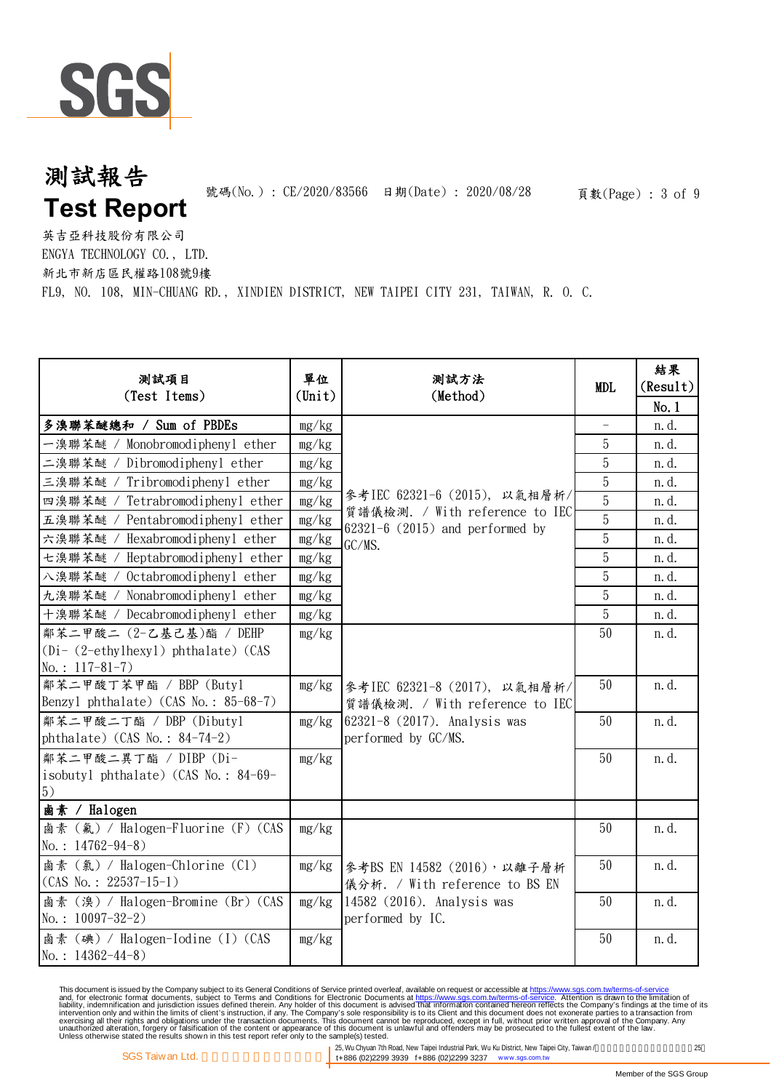

英吉亞科技股份有限公司 ENGYA TECHNOLOGY CO., LTD. 新北市新店區民權路108號9樓

FL9, NO. 108, MIN-CHUANG RD., XINDIEN DISTRICT, NEW TAIPEI CITY 231, TAIWAN, R. O. C.

| 测試項目<br>(Test Items)                                                                      | 單位<br>$(\text{Unit})$ | 测試方法<br>(Method)                                                                                                      | <b>MDL</b>               | 結果<br>(Result)<br>No.1 |
|-------------------------------------------------------------------------------------------|-----------------------|-----------------------------------------------------------------------------------------------------------------------|--------------------------|------------------------|
| 多溴聯苯醚總和 / Sum of PBDEs                                                                    | mg/kg                 |                                                                                                                       | $\overline{\phantom{m}}$ | n.d.                   |
| 一溴聯苯醚 / Monobromodiphenyl ether                                                           | mg/kg                 |                                                                                                                       | 5                        | n. d.                  |
| Dibromodiphenyl ether<br>二溴聯苯醚 /                                                          | mg/kg                 | 參考IEC 62321-6 (2015), 以氣相層析/<br>質譜儀檢測. / With reference to IEC<br>$62321-6$ (2015) and performed by<br>GC/MS.         | 5                        | n.d.                   |
| 三溴聯苯醚 / Tribromodiphenyl ether                                                            | mg/kg                 |                                                                                                                       | $\overline{5}$           | n.d.                   |
| 四溴聯苯醚 / Tetrabromodiphenyl ether                                                          | mg/kg                 |                                                                                                                       | $\overline{5}$           | n. d.                  |
| Pentabromodiphenyl ether<br>五溴聯苯醚 /                                                       | mg/kg                 |                                                                                                                       | $\overline{5}$           | n. d.                  |
| Hexabromodiphenyl ether<br>六溴聯苯醚 /                                                        | mg/kg                 |                                                                                                                       | $\overline{5}$           | n. d.                  |
| Heptabromodiphenyl ether<br>七溴聯苯醚 /                                                       | mg/kg                 |                                                                                                                       | $\overline{5}$           | n. d.                  |
| Octabromodiphenyl ether<br>八溴聯苯醚 /                                                        | mg/kg                 |                                                                                                                       | $\overline{5}$           | n. d.                  |
| 九溴聯苯醚 / Nonabromodiphenyl ether                                                           | mg/kg                 |                                                                                                                       | 5                        | n.d.                   |
| 十溴聯苯醚 / Decabromodiphenyl ether                                                           | mg/kg                 |                                                                                                                       | 5                        | n.d.                   |
| 鄰苯二甲酸二 (2-乙基己基)酯 / DEHP<br>$(Di - (2-ethylhexyl)$ phthalate) $(CAS)$<br>No.: $117-81-7$ ) | mg/kg                 |                                                                                                                       | 50                       | n. d.                  |
| 鄰苯二甲酸丁苯甲酯 / BBP (Butyl<br>Benzyl phthalate) (CAS No.: 85-68-7)                            | mg/kg                 | 參考IEC 62321-8 (2017), 以氣相層析/<br>質譜儀檢測. / With reference to IEC<br>62321-8 (2017). Analysis was<br>performed by GC/MS. | 50                       | n.d.                   |
| 鄰苯二甲酸二丁酯 / DBP (Dibutyl<br>phthalate) (CAS No.: $84-74-2$ )                               | mg/kg                 |                                                                                                                       | 50                       | n.d.                   |
| 鄰苯二甲酸二異丁酯 / DIBP (Di-<br>isobutyl phthalate) (CAS No.: 84-69-<br>5)                       | mg/kg                 |                                                                                                                       | 50                       | n.d.                   |
| 鹵素 / Halogen                                                                              |                       |                                                                                                                       |                          |                        |
| 鹵素 (氟) / Halogen-Fluorine (F) (CAS<br>No.: $14762-94-8$                                   | mg/kg                 |                                                                                                                       | 50                       | n.d.                   |
| 鹵素 (氯) / Halogen-Chlorine (Cl)<br>$(CAS No. : 22537-15-1)$                                | mg/kg                 | 參考BS EN 14582 (2016), 以離子層析<br>儀分析. / With reference to BS EN<br>14582 (2016). Analysis was<br>performed by IC.       | 50                       | n.d.                   |
| 鹵素 (溴) / Halogen-Bromine (Br) (CAS<br>No.: $10097-32-2$                                   | mg/kg                 |                                                                                                                       | 50                       | n. d.                  |
| 鹵素 (碘) / Halogen-Iodine (I) (CAS<br>No.: $14362 - 44 - 8$ )                               | mg/kg                 |                                                                                                                       | 50                       | n. d.                  |

This document is issued by the Company subject to its General Conditions of Service printed overleaf, available on request or accessible at https://www.sgs.com.tw/terms-of-service<br>and, for electronic format documents, subj

25, Wu Chyuan 7th Road, New Taipei Industrial Park, Wu Ku District, New Taipei City, Taiwan / t+886 (02)2299 3939 f+886 (02)2299 3237 www.sgs.com.tw

頁數(Page) : 3 of 9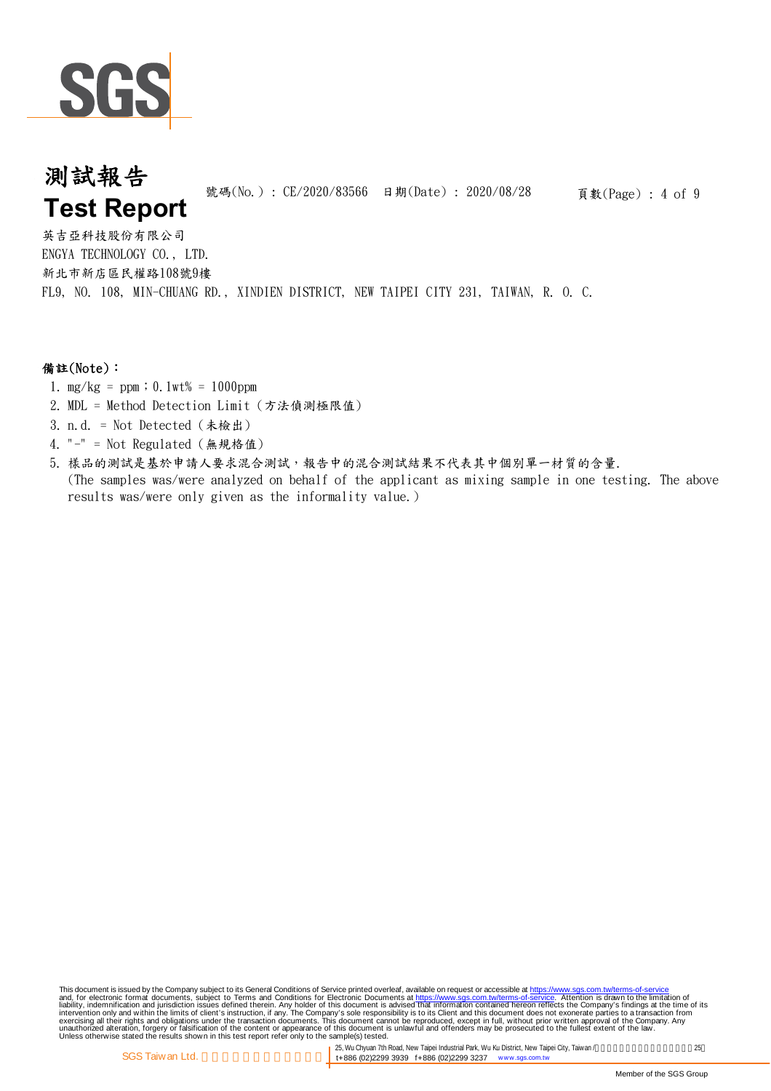

頁數(Page) : 4 of 9

英吉亞科技股份有限公司 ENGYA TECHNOLOGY CO., LTD. 新北市新店區民權路108號9樓 FL9, NO. 108, MIN-CHUANG RD., XINDIEN DISTRICT, NEW TAIPEI CITY 231, TAIWAN, R. O. C.

### 備註(Note):

- 1. mg/kg = ppm;0.1wt% = 1000ppm
- 2. MDL = Method Detection Limit (方法偵測極限值)
- 3. n.d. = Not Detected (未檢出)
- 4. "-" = Not Regulated (無規格值)
- 5. 樣品的測試是基於申請人要求混合測試,報告中的混合測試結果不代表其中個別單一材質的含量. (The samples was/were analyzed on behalf of the applicant as mixing sample in one testing. The above results was/were only given as the informality value.)

25, Wu Chyuan 7th Road, New Taipei Industrial Park, Wu Ku District, New Taipei City, Taiwan / The Asset of the 25 t+886 (02)2299 3939 f+886 (02)2299 3237 www.sgs.com.tw

Member of the SGS Group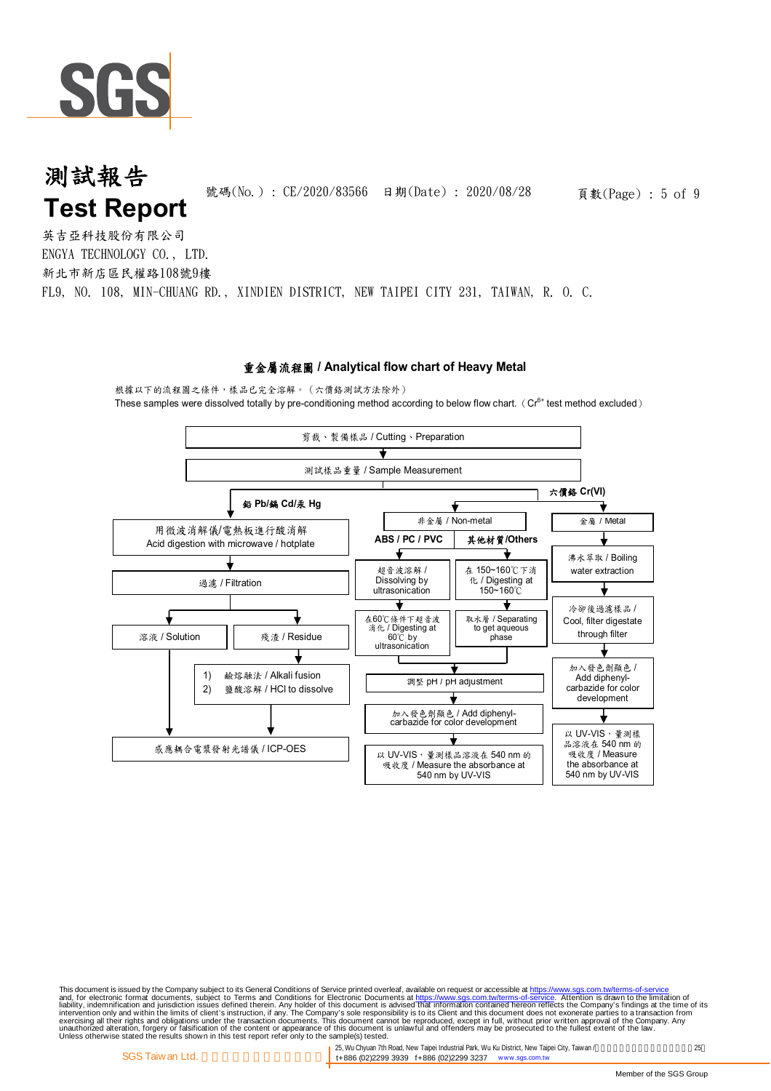

頁數(Page) : 5 of 9

英吉亞科技股份有限公司 ENGYA TECHNOLOGY CO., LTD. 新北市新店區民權路108號9樓 FL9, NO. 108, MIN-CHUANG RD., XINDIEN DISTRICT, NEW TAIPEI CITY 231, TAIWAN, R. O. C.

#### 重金屬流程圖 **/ Analytical flow chart of Heavy Metal**

根據以下的流程圖之條件,樣品已完全溶解。(六價鉻測試方法除外) These samples were dissolved totally by pre-conditioning method according to below flow chart. (Cr6+ test method excluded)



This document is issued by the Company subject to its General Conditions of Service printed overleaf, available on request or accessible at https://www.sgs.com.tw/terms-of-service<br>and, for electronic format documents, subj

25, Wu Chyuan 7th Road, New Taipei Industrial Park, Wu Ku District, New Taipei City, Taiwan / The Asset of the 25 t+886 (02)2299 3939 f+886 (02)2299 3237 www.sgs.com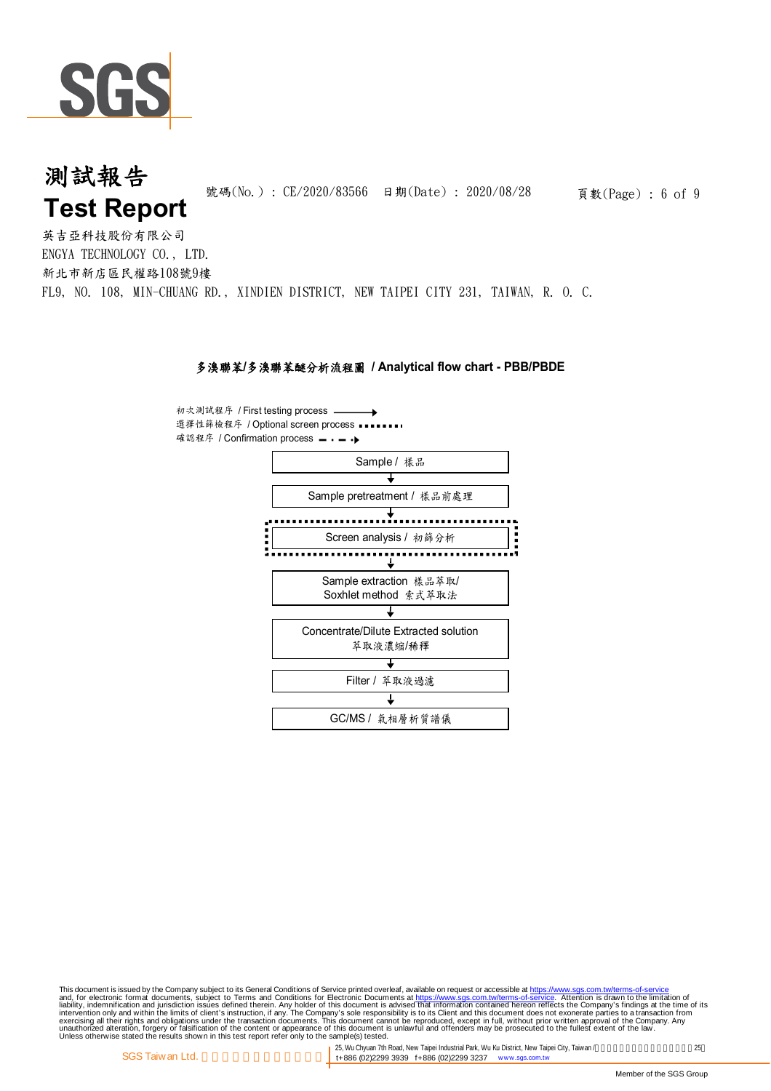

英吉亞科技股份有限公司 ENGYA TECHNOLOGY CO., LTD. 新北市新店區民權路108號9樓 FL9, NO. 108, MIN-CHUANG RD., XINDIEN DISTRICT, NEW TAIPEI CITY 231, TAIWAN, R. O. C.

### 多溴聯苯**/**多溴聯苯醚分析流程圖 **/ Analytical flow chart - PBB/PBDE**



This document is issued by the Company subject to its General Conditions of Service printed overleaf, available on request or accessible at https://www.sgs.com.tw/terms-of-service<br>and, for electronic format documents, subj

25, Wu Chyuan 7th Road, New Taipei Industrial Park, Wu Ku District, New Taipei City, Taiwan / The Asset of the 25 t+886 (02)2299 3939 f+886 (02)2299 3237 www.sgs.com.tw

頁數(Page) : 6 of 9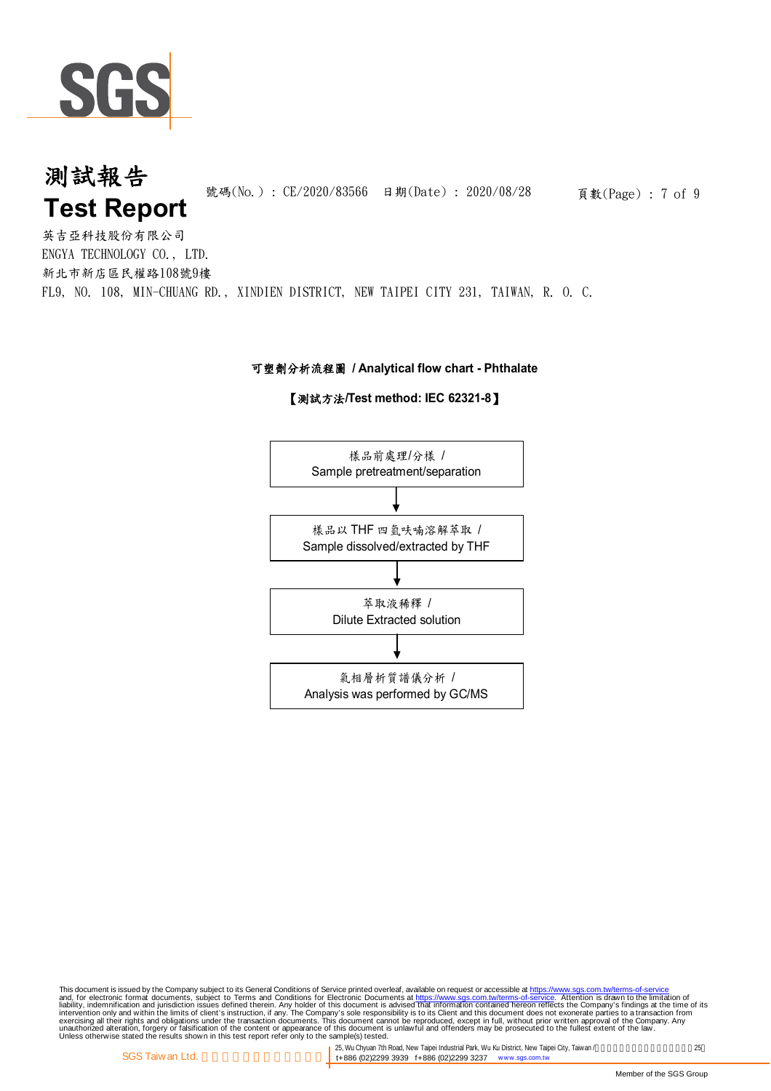

頁數(Page) : 7 of 9

英吉亞科技股份有限公司 ENGYA TECHNOLOGY CO., LTD. 新北市新店區民權路108號9樓 FL9, NO. 108, MIN-CHUANG RD., XINDIEN DISTRICT, NEW TAIPEI CITY 231, TAIWAN, R. O. C.

#### 可塑劑分析流程圖 **/ Analytical flow chart - Phthalate**

#### 【測試方法**/Test method: IEC 62321-8**】



This document is issued by the Company subject to its General Conditions of Service printed overleaf, available on request or accessible at https://www.sgs.com.tw/terms-of-service<br>and, for electronic format documents, subj

25, Wu Chyuan 7th Road, New Taipei Industrial Park, Wu Ku District, New Taipei City, Taiwan / The Asset of the 25 t+886 (02)2299 3939 f+886 (02)2299 3237 www.sgs.com.tw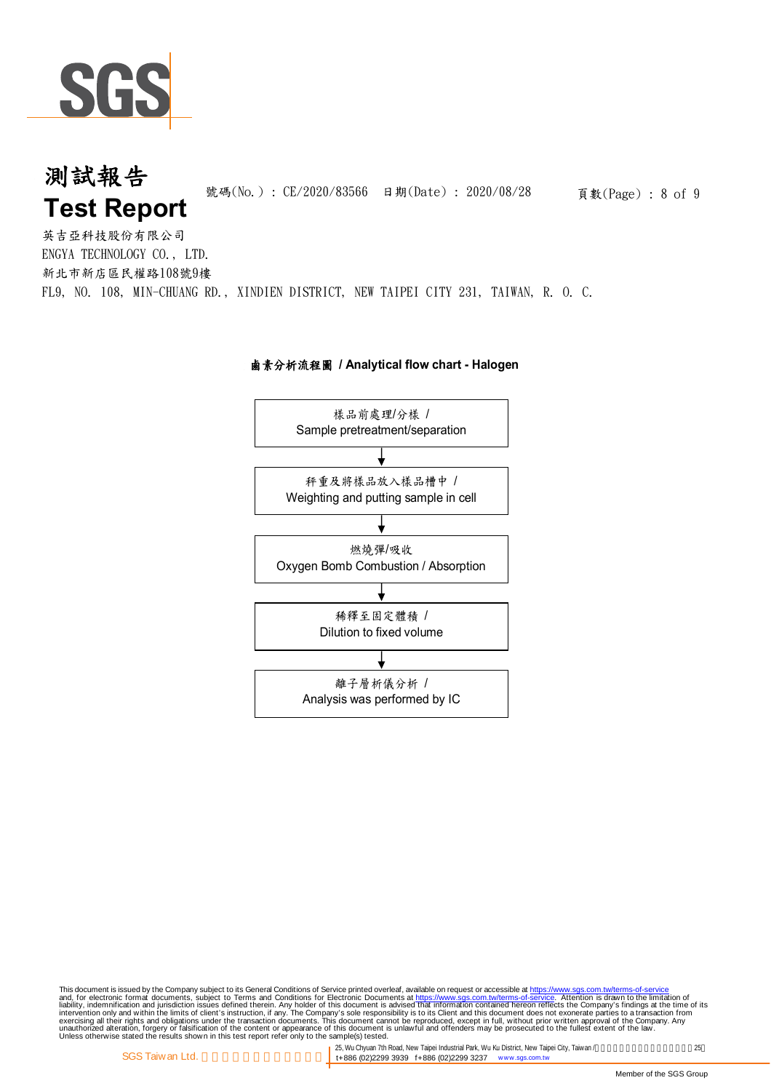

英吉亞科技股份有限公司 ENGYA TECHNOLOGY CO., LTD. 新北市新店區民權路108號9樓

FL9, NO. 108, MIN-CHUANG RD., XINDIEN DISTRICT, NEW TAIPEI CITY 231, TAIWAN, R. O. C.



鹵素分析流程圖 **/ Analytical flow chart - Halogen**

This document is issued by the Company subject to its General Conditions of Service printed overleaf, available on request or accessible at https://www.sgs.com.tw/terms-of-service<br>and, for electronic format documents, subj

25, Wu Chyuan 7th Road, New Taipei Industrial Park, Wu Ku District, New Taipei City, Taiwan / The Asset of the 25 t+886 (02)2299 3939 f+886 (02)2299 3237 www.sgs.com.tw

頁數(Page) : 8 of 9